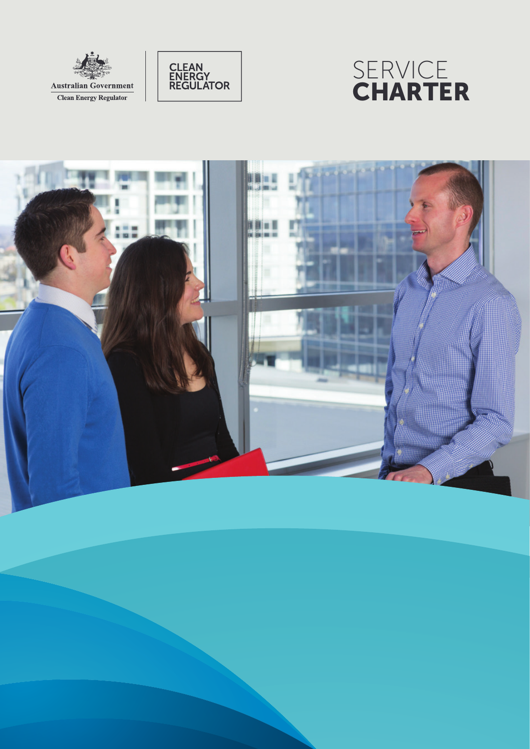





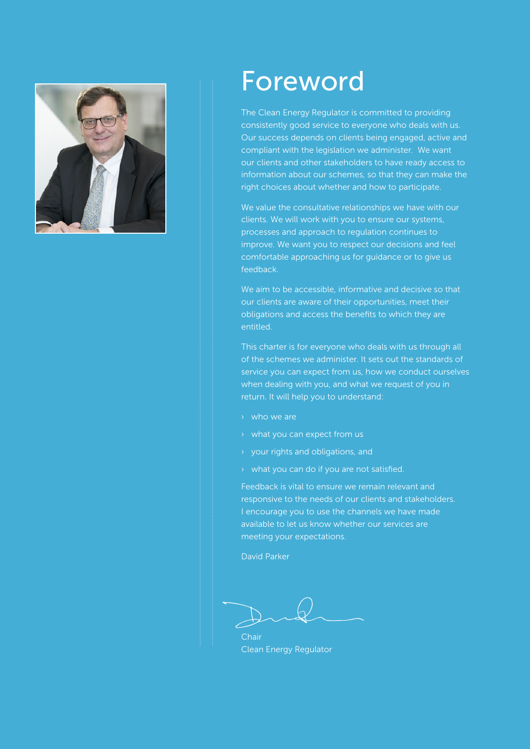

# Fo reword

The Clean Ene rgy Regul ator is committed to p roviding consistently good servi ce to everyone who deals with us. Our success depends on clients being engaged, active and compliant with the legislation we administer. We want our clients and other sta keholders to have ready access to i n form ation about our schemes, so th at they can ma ke the right choi ces about whether and how to particip ate.

We value the consultative relationships we have with our clients. We will work with you to ensure our systems, processes and approach to regulation continues to imp rove. We want you to respect our decisions and feel c o m fortable app roaching us for guidan ce or to give us feedback.

We aim to be accessible, informative and decisive so that our clients are aware of their opportunities, meet their oblig ations and a c cess the benefits to which they a re entitled.

This charter is for everyone who deals with us th rough all of the schemes we administer. It sets out the standards of service you can expect from us, how we conduct ourselves when dealing with you, and what we request of you in return. It will help you to understand:<br>
> who we are

- 
- 
- › what you can expect from us › your rights and obligations, and
- › what you can do if you are not satisfied.

Feedback is vital to ensure we remain relevant and responsive to the needs of our clients and sta keholders. I en courage you to use the channels we have made available to let us know whether our services are meeting your expect ations.

David Parker

...........................................................................................................................................................................................................................................................................................

Chair Clean Ene rgy Regul ator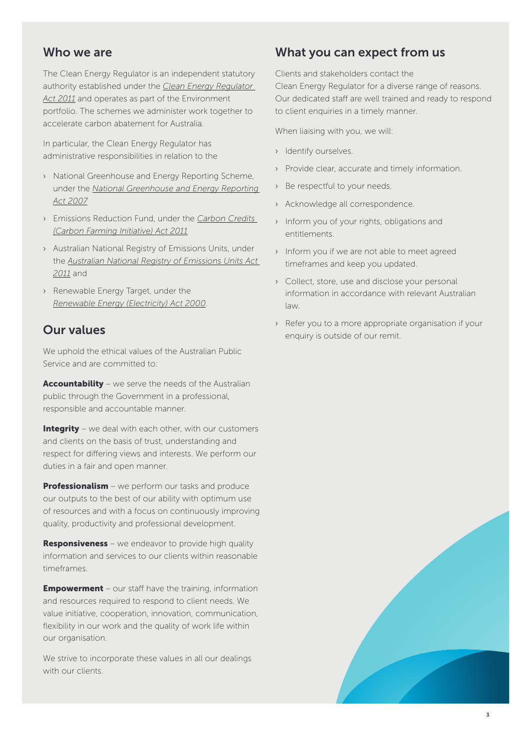# Who we are

The Clean Energy Regulator is an independent statutory authority established under the *[Clean Energy Regulator](https://www.comlaw.gov.au/Series/C2011A00131)  [Act 2011](https://www.comlaw.gov.au/Series/C2011A00131)* and operates as part of the Environment portfolio. The schemes we administer work together to accelerate carbon abatement for Australia.

In particular, the Clean Energy Regulator has administrative responsibilities in relation to the

- › National Greenhouse and Energy Reporting Scheme, under the *[National Greenhouse and Energy Reporting](https://www.comlaw.gov.au/Details/C2007A00175)  [Act 2007](https://www.comlaw.gov.au/Details/C2007A00175)*
- › Emissions Reduction Fund, under the *[Carbon Credits](https://www.comlaw.gov.au/Details/C2015C00012)  [\(Carbon Farming Initiative\) Act 2011](https://www.comlaw.gov.au/Details/C2015C00012)*
- › Australian National Registry of Emissions Units, under the *[Australian National Registry of Emissions Units Act](http://www.comlaw.gov.au/Series/C2011A00099)  [2011](http://www.comlaw.gov.au/Series/C2011A00099)* and
- › Renewable Energy Target, under the *[Renewable Energy \(Electricity\) Act 2000](http://www.cleanenergyregulator.gov.au/About/Accountability-and-reporting/administrative-reports/The-Renewable-Energy-Target-2012-Administrative-Report/Administering-the-Act)*.

# Our values

We uphold the ethical values of the Australian Public Service and are committed to:

Accountability – we serve the needs of the Australian public through the Government in a professional, responsible and accountable manner.

Integrity – we deal with each other, with our customers and clients on the basis of trust, understanding and respect for differing views and interests. We perform our duties in a fair and open manner.

**Professionalism** – we perform our tasks and produce our outputs to the best of our ability with optimum use of resources and with a focus on continuously improving quality, productivity and professional development.

**Responsiveness** – we endeavor to provide high quality information and services to our clients within reasonable timeframes.

**Empowerment** – our staff have the training, information and resources required to respond to client needs. We value initiative, cooperation, innovation, communication, flexibility in our work and the quality of work life within our organisation.

We strive to incorporate these values in all our dealings with our clients.

# What you can expect from us

Clients and stakeholders contact the Clean Energy Regulator for a diverse range of reasons. Our dedicated staff are well trained and ready to respond to client enquiries in a timely manner.

When liaising with you, we will:

- › Identify ourselves.
- › Provide clear, accurate and timely information.
- › Be respectful to your needs.
- › Acknowledge all correspondence.
- › Inform you of your rights, obligations and entitlements.
- › Inform you if we are not able to meet agreed timeframes and keep you updated.
- › Collect, store, use and disclose your personal information in accordance with relevant Australian law.
- › Refer you to a more appropriate organisation if your enquiry is outside of our remit.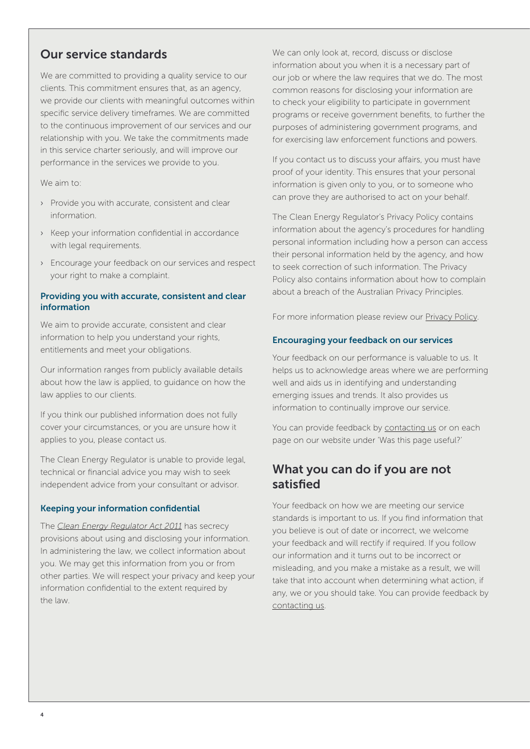# Our service standards

We are committed to providing a quality service to our clients. This commitment ensures that, as an agency, we provide our clients with meaningful outcomes within specific service delivery timeframes. We are committed to the continuous improvement of our services and our relationship with you. We take the commitments made in this service charter seriously, and will improve our performance in the services we provide to you.

We aim to:

- › Provide you with accurate, consistent and clear information.
- › Keep your information confidential in accordance with legal requirements.
- › Encourage your feedback on our services and respect your right to make a complaint.

## Providing you with accurate, consistent and clear information

We aim to provide accurate, consistent and clear information to help you understand your rights, entitlements and meet your obligations.

Our information ranges from publicly available details about how the law is applied, to guidance on how the law applies to our clients.

If you think our published information does not fully cover your circumstances, or you are unsure how it applies to you, please contact us.

The Clean Energy Regulator is unable to provide legal, technical or financial advice you may wish to seek independent advice from your consultant or advisor.

# Keeping your information confidential

The *[Clean Energy Regulator Act 2011](https://www.comlaw.gov.au/Series/C2011A00131)* has secrecy provisions about using and disclosing your information. In administering the law, we collect information about you. We may get this information from you or from other parties. We will respect your privacy and keep your information confidential to the extent required by the law.

We can only look at, record, discuss or disclose information about you when it is a necessary part of our job or where the law requires that we do. The most common reasons for disclosing your information are to check your eligibility to participate in government programs or receive government benefits, to further the purposes of administering government programs, and for exercising law enforcement functions and powers.

If you contact us to discuss your affairs, you must have proof of your identity. This ensures that your personal information is given only to you, or to someone who can prove they are authorised to act on your behalf.

The Clean Energy Regulator's Privacy Policy contains information about the agency's procedures for handling personal information including how a person can access their personal information held by the agency, and how to seek correction of such information. The Privacy Policy also contains information about how to complain about a breach of the Australian Privacy Principles.

For more information please review our [Privacy Policy](http://www.cleanenergyregulator.gov.au/About/Policies-and-publications/Condensed-privacy-policy).

## Encouraging your feedback on our services

Your feedback on our performance is valuable to us. It helps us to acknowledge areas where we are performing well and aids us in identifying and understanding emerging issues and trends. It also provides us information to continually improve our service.

You can provide feedback by [contacting us](http://www.cleanenergyregulator.gov.au/About/Contact-us) or on each page on our website under 'Was this page useful?'

# What you can do if you are not satisfied

Your feedback on how we are meeting our service standards is important to us. If you find information that you believe is out of date or incorrect, we welcome your feedback and will rectify if required. If you follow our information and it turns out to be incorrect or misleading, and you make a mistake as a result, we will take that into account when determining what action, if any, we or you should take. You can provide feedback by [contacting us](http://www.cleanenergyregulator.gov.au/About/Contact-us).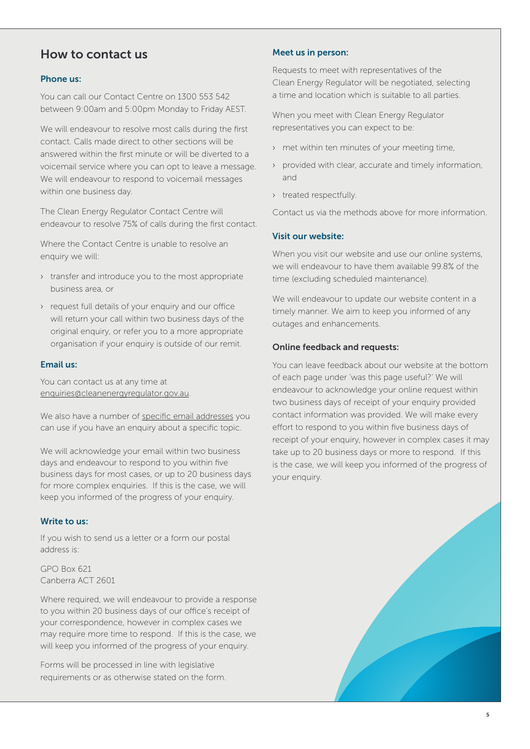# How to contact us

## Phone us:

You can call our Contact Centre on 1300 553 542 between 9:00am and 5:00pm Monday to Friday AEST.

We will endeavour to resolve most calls during the first contact. Calls made direct to other sections will be answered within the first minute or will be diverted to a voicemail service where you can opt to leave a message. We will endeavour to respond to voicemail messages within one business day.

The Clean Energy Regulator Contact Centre will endeavour to resolve 75% of calls during the first contact.

Where the Contact Centre is unable to resolve an enquiry we will:

- › transfer and introduce you to the most appropriate business area, or
- › request full details of your enquiry and our office will return your call within two business days of the original enquiry, or refer you to a more appropriate organisation if your enquiry is outside of our remit.

## Email us:

You can contact us at any time at [enquiries@cleanenergyregulator.gov.au](mailto:enquiries%40cleanenergyregulator.gov.au?subject=).

We also have a number of [specific email addresses](http://www.cleanenergyregulator.gov.au/About/Contact-us) you can use if you have an enquiry about a specific topic.

We will acknowledge your email within two business days and endeavour to respond to you within five business days for most cases, or up to 20 business days for more complex enquiries. If this is the case, we will keep you informed of the progress of your enquiry.

## Write to us:

If you wish to send us a letter or a form our postal address is:

GPO Box 621 Canberra ACT 2601

Where required, we will endeavour to provide a response to you within 20 business days of our office's receipt of your correspondence, however in complex cases we may require more time to respond. If this is the case, we will keep you informed of the progress of your enquiry.

Forms will be processed in line with legislative requirements or as otherwise stated on the form.

#### Meet us in person:

Requests to meet with representatives of the Clean Energy Regulator will be negotiated, selecting a time and location which is suitable to all parties.

When you meet with Clean Energy Regulator representatives you can expect to be:

- › met within ten minutes of your meeting time,
- › provided with clear, accurate and timely information, and
- › treated respectfully.

Contact us via the methods above for more information.

#### Visit our website:

When you visit our website and use our online systems, we will endeavour to have them available 99.8% of the time (excluding scheduled maintenance).

We will endeavour to update our website content in a timely manner. We aim to keep you informed of any outages and enhancements.

#### Online feedback and requests:

You can leave feedback about our website at the bottom of each page under 'was this page useful?' We will endeavour to acknowledge your online request within two business days of receipt of your enquiry provided contact information was provided. We will make every effort to respond to you within five business days of receipt of your enquiry, however in complex cases it may take up to 20 business days or more to respond. If this is the case, we will keep you informed of the progress of your enquiry.

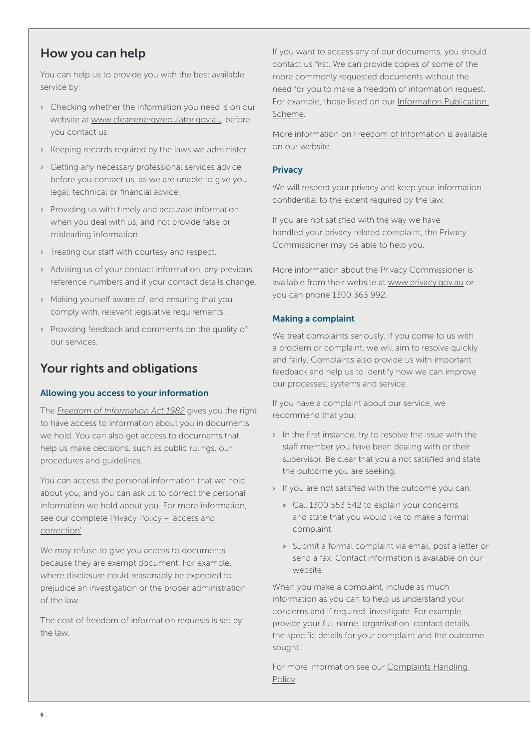# How you can help

You can help us to provide you with the best available service by:

- › Checking whether the information you need is on our website at [www.cleanenergyregulator.gov.au](http://www.cleanenergyregulator.gov.au/), before you contact us.
- › Keeping records required by the laws we administer.
- › Getting any necessary professional services advice before you contact us, as we are unable to give you legal, technical or financial advice.
- › Providing us with timely and accurate information when you deal with us, and not provide false or misleading information.
- › Treating our staff with courtesy and respect.
- › Advising us of your contact information, any previous reference numbers and if your contact details change.
- › Making yourself aware of, and ensuring that you comply with, relevant legislative requirements.
- › Providing feedback and comments on the quality of our services.

# Your rights and obligations

# Allowing you access to your information

The *[Freedom of Information Act 1982](http://www.cleanenergyregulator.gov.au/About/Freedom-of-information-%28FOI%29)* gives you the right to have access to information about you in documents we hold. You can also get access to documents that help us make decisions, such as public rulings, our procedures and guidelines.

You can access the personal information that we hold about you, and you can ask us to correct the personal information we hold about you. For more information, see our complete Privacy Policy - 'access and [correction'.](http://www.cleanenergyregulator.gov.au/About/Policies-and-publications/Condensed-privacy-policy/Full-privacy-policy)

We may refuse to give you access to documents because they are exempt document. For example, where disclosure could reasonably be expected to prejudice an investigation or the proper administration of the law.

The cost of freedom of information requests is set by the law.

If you want to access any of our documents, you should contact us first. We can provide copies of some of the more commonly requested documents without the need for you to make a freedom of information request. For example, those listed on our Information Publication [Scheme](http://www.cleanenergyregulator.gov.au/About/Accountability-and-reporting/Annual-Reports/Annual%20report%202012%E2%80%9313/Information-Publication-Scheme).

More information on [Freedom of Information](http://www.cleanenergyregulator.gov.au/About/Freedom-of-information-(FOI)) is available on our website.

## **Privacy**

We will respect your privacy and keep your information confidential to the extent required by the law.

If you are not satisfied with the way we have handled your privacy related complaint, the Privacy Commissioner may be able to help you.

More information about the Privacy Commissioner is available from their website at [www.privacy.gov.au](http://www.oaic.gov.au/) or you can phone 1300 363 992.

# Making a complaint

We treat complaints seriously. If you come to us with a problem or complaint, we will aim to resolve quickly and fairly. Complaints also provide us with important feedback and help us to identify how we can improve our processes, systems and service.

If you have a complaint about our service, we recommend that you:

- › In the first instance, try to resolve the issue with the staff member you have been dealing with or their supervisor. Be clear that you a not satisfied and state the outcome you are seeking.
- › If you are not satisfied with the outcome you can:
	- » Call 1300 553 542 to explain your concerns and state that you would like to make a formal complaint.
	- » Submit a formal complaint via email, post a letter or send a fax. Contact information is available on our website.

When you make a complaint, include as much information as you can to help us understand your concerns and if required, investigate. For example, provide your full name, organisation, contact details, the specific details for your complaint and the outcome sought.

For more information see our [Complaints Handling](http://www.cleanenergyregulator.gov.au/About/Policies-and-publications/Condensed-privacy-policy/Full-privacy-policy)  [Policy.](http://www.cleanenergyregulator.gov.au/About/Policies-and-publications/Condensed-privacy-policy/Full-privacy-policy)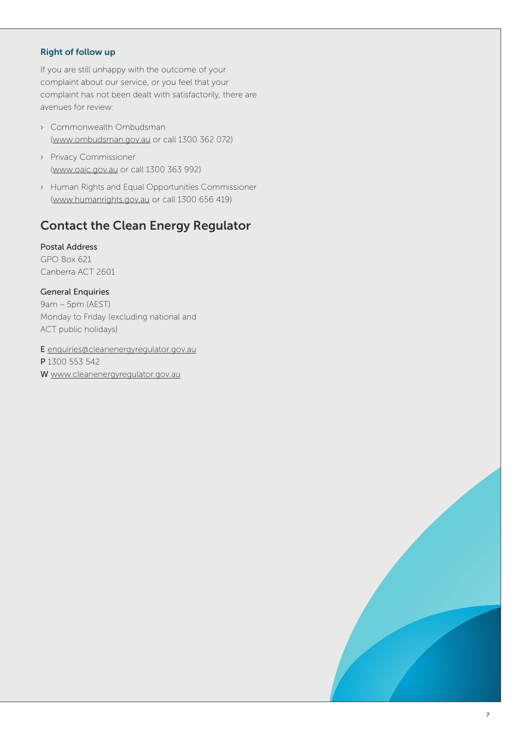# Right of follow up

If you are still unhappy with the outcome of your complaint about our service, or you feel that your complaint has not been dealt with satisfactorily, there are avenues for review:

- › Commonwealth Ombudsman [\(www.ombudsman.gov.au](http://www.ombudsman.gov.au/) or call 1300 362 072)
- › Privacy Commissioner [\(www.oaic.gov.au](http://www.oaic.gov.au/) or call 1300 363 992)
- › Human Rights and Equal Opportunities Commissioner [\(www.humanrights.gov.au](http://www.humanrights.gov.au/) or call 1300 656 419)

# Contact the Clean Energy Regulator

Postal Address GPO Box 621 Canberra ACT 2601

## General Enquiries

9am – 5pm (AEST) Monday to Friday (excluding national and ACT public holidays)

E [enquiries@cleanenergyregulator.gov.au](mailto:enquiries%40cleanenergyregulator.gov.au?subject=) P 1300 553 542 W [www.cleanenergyregulator.gov.au](http://www.cleanenergyregulator.gov.au/)